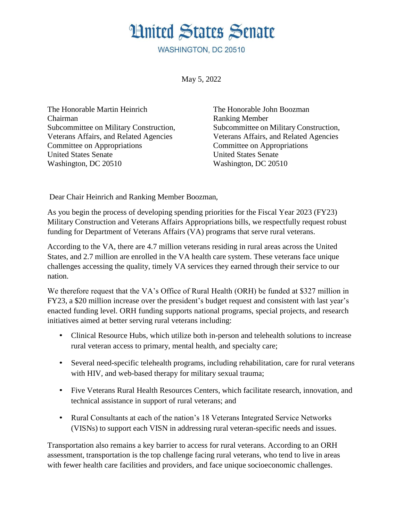## **Hnited States Senate**

**WASHINGTON, DC 20510** 

May 5, 2022

The Honorable Martin Heinrich The Honorable John Boozman Chairman Ranking Member Subcommittee on Military Construction, Subcommittee on Military Construction, Veterans Affairs, and Related Agencies Veterans Affairs, and Related Agencies Committee on Appropriations Committee on Appropriations United States Senate United States Senate Washington, DC 20510 Washington, DC 20510

Dear Chair Heinrich and Ranking Member Boozman,

As you begin the process of developing spending priorities for the Fiscal Year 2023 (FY23) Military Construction and Veterans Affairs Appropriations bills, we respectfully request robust funding for Department of Veterans Affairs (VA) programs that serve rural veterans.

According to the VA, there are 4.7 million veterans residing in rural areas across the United States, and 2.7 million are enrolled in the VA health care system. These veterans face unique challenges accessing the quality, timely VA services they earned through their service to our nation.

We therefore request that the VA's Office of Rural Health (ORH) be funded at \$327 million in FY23, a \$20 million increase over the president's budget request and consistent with last year's enacted funding level. ORH funding supports national programs, special projects, and research initiatives aimed at better serving rural veterans including:

- Clinical Resource Hubs, which utilize both in-person and telehealth solutions to increase rural veteran access to primary, mental health, and specialty care;
- Several need-specific telehealth programs, including rehabilitation, care for rural veterans with HIV, and web-based therapy for military sexual trauma;
- Five Veterans Rural Health Resources Centers, which facilitate research, innovation, and technical assistance in support of rural veterans; and
- Rural Consultants at each of the nation's 18 Veterans Integrated Service Networks (VISNs) to support each VISN in addressing rural veteran-specific needs and issues.

Transportation also remains a key barrier to access for rural veterans. According to an ORH assessment, transportation is the top challenge facing rural veterans, who tend to live in areas with fewer health care facilities and providers, and face unique socioeconomic challenges.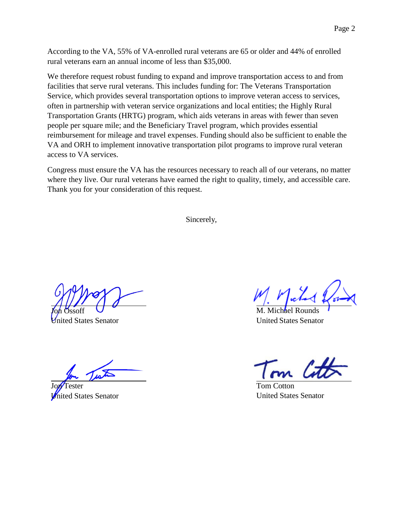According to the VA, 55% of VA-enrolled rural veterans are 65 or older and 44% of enrolled rural veterans earn an annual income of less than \$35,000.

We therefore request robust funding to expand and improve transportation access to and from facilities that serve rural veterans. This includes funding for: The Veterans Transportation Service, which provides several transportation options to improve veteran access to services, often in partnership with veteran service organizations and local entities; the Highly Rural Transportation Grants (HRTG) program, which aids veterans in areas with fewer than seven people per square mile; and the Beneficiary Travel program, which provides essential reimbursement for mileage and travel expenses. Funding should also be sufficient to enable the VA and ORH to implement innovative transportation pilot programs to improve rural veteran access to VA services.

Congress must ensure the VA has the resources necessary to reach all of our veterans, no matter where they live. Our rural veterans have earned the right to quality, timely, and accessible care. Thank you for your consideration of this request.

Sincerely,

Joh Ossoff nited States Senator

'ester **United States Senator** 

M. Michael Rounds United States Senator

Tom Cotton United States Senator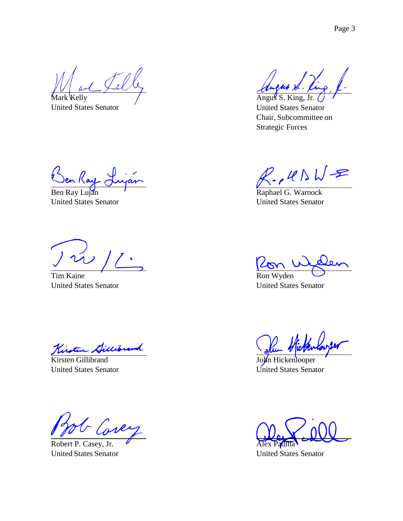Mark Kelly United States Senator

en Ray  $\gtrsim$ 

Ben Ray Luján United States Senator

Tim Kaine United States Senator

Kirsten Gillibrand United States Senator

f uk

Robert P. Casey, Jr. United States Senator

Angus S. King, Jr. United States Senator Chair, Subcommittee on Strategic Forces

 $P$ ,  $R \wedge W$ =

Raphael G. Warnock United States Senator

Ron Wyden United States Senator

John Hickenlooper United States Senator

Alex Padilla

United States Senator